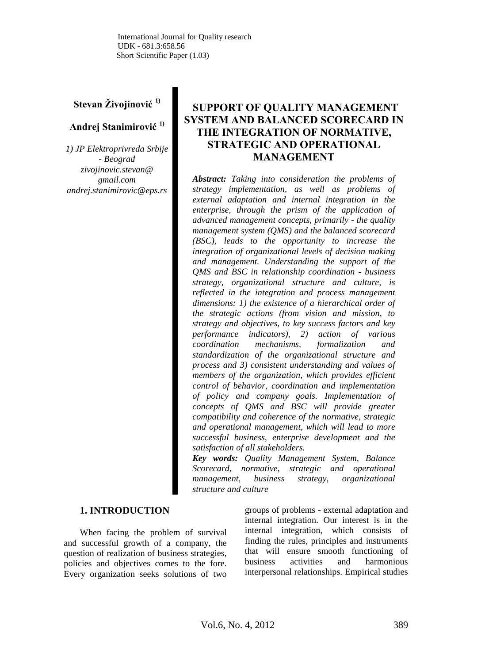# **Stevan Živojinović 1)**

# **Andrej Stanimirović 1)**

*1) JP Elektroprivreda Srbije - Beograd zivojinovic.stevan@ gmail.com andrej.stanimirovic@eps.rs*

# **SUPPORT OF QUALITY MANAGEMENT SYSTEM AND BALANCED SCORECARD IN THE INTEGRATION OF NORMATIVE, STRATEGIC AND OPERATIONAL MANAGEMENT**

*Abstract: Taking into consideration the problems of strategy implementation, as well as problems of external adaptation and internal integration in the enterprise, through the prism of the application of advanced management concepts, primarily - the quality management system (QMS) and the balanced scorecard (BSC), leads to the opportunity to increase the integration of organizational levels of decision making and management. Understanding the support of the QMS and BSC in relationship coordination - business strategy, organizational structure and culture, is reflected in the integration and process management dimensions: 1) the existence of a hierarchical order of the strategic actions (from vision and mission, to strategy and objectives, to key success factors and key performance indicators), 2) action of various coordination mechanisms, formalization and standardization of the organizational structure and process and 3) consistent understanding and values of members of the organization, which provides efficient control of behavior, coordination and implementation of policy and company goals. Implementation of concepts of QMS and BSC will provide greater compatibility and coherence of the normative, strategic and operational management, which will lead to more successful business, enterprise development and the satisfaction of all stakeholders.*

*Key words: Quality Management System, Balance Scorecard, normative, strategic and operational management, business strategy, organizational structure and culture*

### **1. INTRODUCTION**

When facing the problem of survival and successful growth of a company, the question of realization of business strategies, policies and objectives comes to the fore. Every organization seeks solutions of two

groups of problems - external adaptation and internal integration. Our interest is in the internal integration, which consists of finding the rules, principles and instruments that will ensure smooth functioning of business activities and harmonious interpersonal relationships. Empirical studies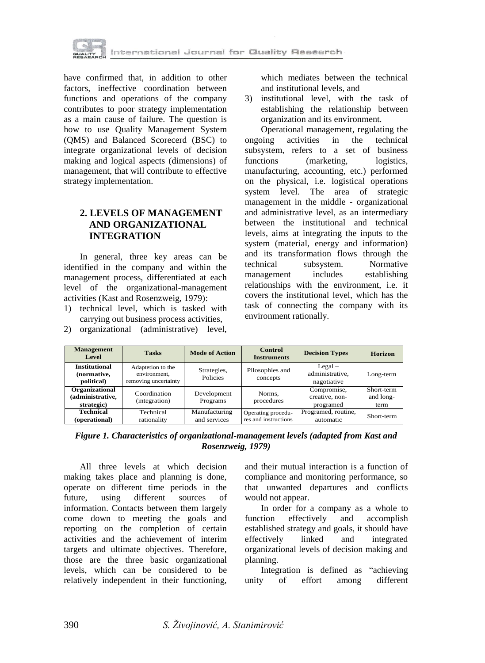

have confirmed that, in addition to other factors, ineffective coordination between functions and operations of the company contributes to poor strategy implementation as a main cause of failure. The question is how to use Quality Management System (QMS) and Balanced Scorecerd (BSC) to integrate organizational levels of decision making and logical aspects (dimensions) of management, that will contribute to effective strategy implementation.

# **2. LEVELS OF MANAGEMENT AND ORGANIZATIONAL INTEGRATION**

In general, three key areas can be identified in the company and within the management process, differentiated at each level of the organizational-management activities (Kast and Rosenzweig, 1979):

- 1) technical level, which is tasked with carrying out business process activities,
- 2) organizational (administrative) level,

which mediates between the technical and institutional levels, and

3) institutional level, with the task of establishing the relationship between organization and its environment.

Operational management, regulating the ongoing activities in the technical subsystem, refers to a set of business functions (marketing, logistics, manufacturing, accounting, etc.) performed on the physical, i.e. logistical operations system level. The area of strategic management in the middle - organizational and administrative level, as an intermediary between the institutional and technical levels, aims at integrating the inputs to the system (material, energy and information) and its transformation flows through the technical subsystem. Normative management includes establishing relationships with the environment, i.e. it covers the institutional level, which has the task of connecting the company with its environment rationally.

| <b>Management</b><br><b>Level</b>                 | <b>Tasks</b>                                              | <b>Mode of Action</b>          | <b>Control</b><br><b>Instruments</b>       | <b>Decision Types</b>                       | <b>Horizon</b>                  |
|---------------------------------------------------|-----------------------------------------------------------|--------------------------------|--------------------------------------------|---------------------------------------------|---------------------------------|
| <b>Institutional</b><br>(normative,<br>political) | Adaptetion to the<br>environment,<br>removing uncertainty | Strategies,<br><b>Policies</b> | Pilosophies and<br>concepts                | $Legal -$<br>administrative.<br>nagotiative | Long-term                       |
| Organizational<br>(administrative,<br>strategic)  | Coordination<br>(integration)                             | Development<br>Programs        | Norms.<br>procedures                       | Compromise,<br>creative, non-<br>programed  | Short-term<br>and long-<br>term |
| Technical<br>(operational)                        | Technical<br>rationality                                  | Manufacturing<br>and services  | Operating procedu-<br>res and instructions | Programed, routine,<br>automatic            | Short-term                      |

*Figure 1. Characteristics of organizational-management levels (adapted from Kast and Rosenzweig, 1979)*

All three levels at which decision making takes place and planning is done, operate on different time periods in the future, using different sources of information. Contacts between them largely come down to meeting the goals and reporting on the completion of certain activities and the achievement of interim targets and ultimate objectives. Therefore, those are the three basic organizational levels, which can be considered to be relatively independent in their functioning,

and their mutual interaction is a function of compliance and monitoring performance, so that unwanted departures and conflicts would not appear.

In order for a company as a whole to function effectively and accomplish established strategy and goals, it should have effectively linked and integrated organizational levels of decision making and planning.

Integration is defined as "achieving unity of effort among different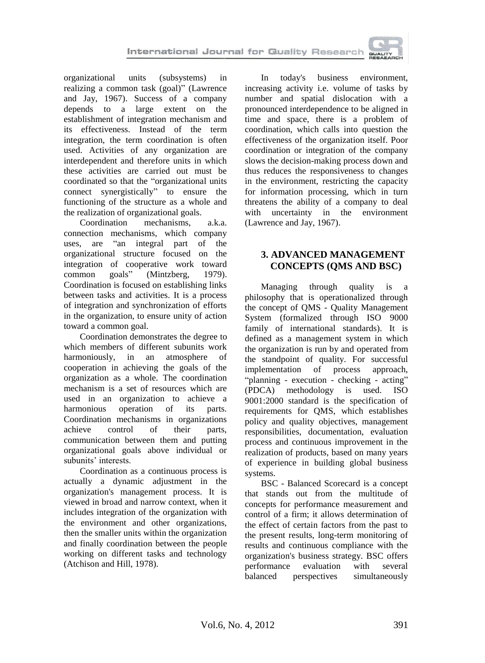

organizational units (subsystems) in realizing a common task (goal)" (Lawrence and Jay, 1967). Success of a company depends to a large extent on the establishment of integration mechanism and its effectiveness. Instead of the term integration, the term coordination is often used. Activities of any organization are interdependent and therefore units in which these activities are carried out must be coordinated so that the "organizational units connect synergistically" to ensure the functioning of the structure as a whole and the realization of organizational goals.

Coordination mechanisms, a.k.a. connection mechanisms, which company uses, are "an integral part of the organizational structure focused on the integration of cooperative work toward<br>common goals" (Mintzberg. 1979). common goals" (Mintzberg, 1979). Coordination is focused on establishing links between tasks and activities. It is a process of integration and synchronization of efforts in the organization, to ensure unity of action toward a common goal.

Coordination demonstrates the degree to which members of different subunits work harmoniously, in an atmosphere of cooperation in achieving the goals of the organization as a whole. The coordination mechanism is a set of resources which are used in an organization to achieve a harmonious operation of its parts. Coordination mechanisms in organizations achieve control of their parts, communication between them and putting organizational goals above individual or subunits' interests.

Coordination as a continuous process is actually a dynamic adjustment in the organization's management process. It is viewed in broad and narrow context, when it includes integration of the organization with the environment and other organizations, then the smaller units within the organization and finally coordination between the people working on different tasks and technology (Atchison and Hill, 1978).

In today's business environment, increasing activity i.e. volume of tasks by number and spatial dislocation with a pronounced interdependence to be aligned in time and space, there is a problem of coordination, which calls into question the effectiveness of the organization itself. Poor coordination or integration of the company slows the decision-making process down and thus reduces the responsiveness to changes in the environment, restricting the capacity for information processing, which in turn threatens the ability of a company to deal with uncertainty in the environment (Lawrence and Jay, 1967).

# **3. ADVANCED MANAGEMENT CONCEPTS (QMS AND BSC)**

Managing through quality is a philosophy that is operationalized through the concept of QMS - Quality Management System (formalized through ISO 9000 family of international standards). It is defined as a management system in which the organization is run by and operated from the standpoint of quality. For successful<br>implementation of process approach. implementation of process "planning - execution - checking - acting" (PDCA) methodology is used. ISO 9001:2000 standard is the specification of requirements for QMS, which establishes policy and quality objectives, management responsibilities, documentation, evaluation process and continuous improvement in the realization of products, based on many years of experience in building global business systems.

BSC - Balanced Scorecard is a concept that stands out from the multitude of concepts for performance measurement and control of a firm; it allows determination of the effect of certain factors from the past to the present results, long-term monitoring of results and continuous compliance with the organization's business strategy. BSC offers performance evaluation with several balanced perspectives simultaneously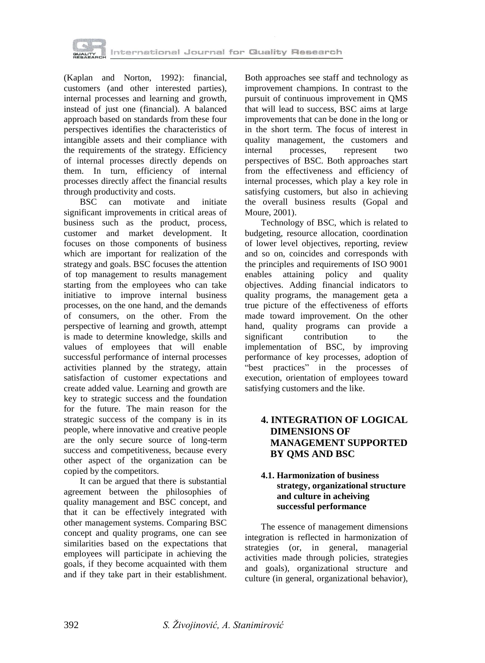

(Kaplan and Norton, 1992): financial, customers (and other interested parties), internal processes and learning and growth, instead of just one (financial). A balanced approach based on standards from these four perspectives identifies the characteristics of intangible assets and their compliance with the requirements of the strategy. Efficiency of internal processes directly depends on them. In turn, efficiency of internal processes directly affect the financial results through productivity and costs.

BSC can motivate and initiate significant improvements in critical areas of business such as the product, process, customer and market development. It focuses on those components of business which are important for realization of the strategy and goals. BSC focuses the attention of top management to results management starting from the employees who can take initiative to improve internal business processes, on the one hand, and the demands of consumers, on the other. From the perspective of learning and growth, attempt is made to determine knowledge, skills and values of employees that will enable successful performance of internal processes activities planned by the strategy, attain satisfaction of customer expectations and create added value. Learning and growth are key to strategic success and the foundation for the future. The main reason for the strategic success of the company is in its people, where innovative and creative people are the only secure source of long-term success and competitiveness, because every other aspect of the organization can be copied by the competitors.

It can be argued that there is substantial agreement between the philosophies of quality management and BSC concept, and that it can be effectively integrated with other management systems. Comparing BSC concept and quality programs, one can see similarities based on the expectations that employees will participate in achieving the goals, if they become acquainted with them and if they take part in their establishment.

Both approaches see staff and technology as improvement champions. In contrast to the pursuit of continuous improvement in QMS that will lead to success, BSC aims at large improvements that can be done in the long or in the short term. The focus of interest in quality management, the customers and internal processes, represent two perspectives of BSC. Both approaches start from the effectiveness and efficiency of internal processes, which play a key role in satisfying customers, but also in achieving the overall business results (Gopal and Moure, 2001).

Technology of BSC, which is related to budgeting, resource allocation, coordination of lower level objectives, reporting, review and so on, coincides and corresponds with the principles and requirements of ISO 9001 enables attaining policy and quality objectives. Adding financial indicators to quality programs, the management geta a true picture of the effectiveness of efforts made toward improvement. On the other hand, quality programs can provide a significant contribution to the implementation of BSC, by improving performance of key processes, adoption of "best practices" in the processes of execution, orientation of employees toward satisfying customers and the like.

# **4. INTEGRATION OF LOGICAL DIMENSIONS OF MANAGEMENT SUPPORTED BY QMS AND BSC**

#### **4.1. Harmonization of business strategy, organizational structure and culture in acheiving successful performance**

The essence of management dimensions integration is reflected in harmonization of strategies (or, in general, managerial activities made through policies, strategies and goals), organizational structure and culture (in general, organizational behavior),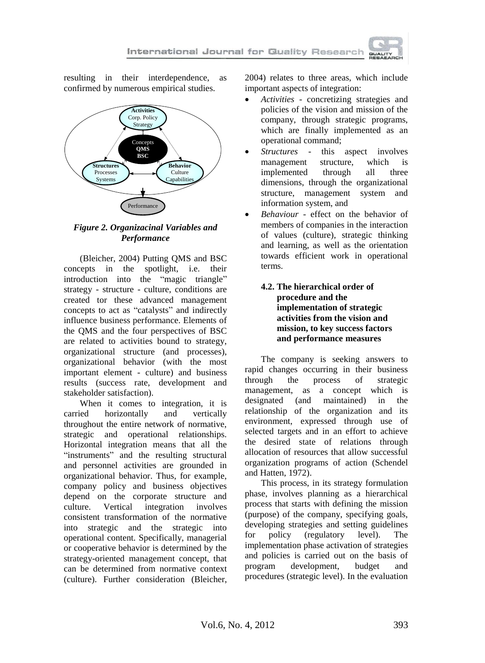resulting in their interdependence, as confirmed by numerous empirical studies.



# *Figure 2. Organizacinal Variables and Performance*

(Bleicher, 2004) Putting QMS and BSC concepts in the spotlight, i.e. their introduction into the "magic triangle" strategy - structure - culture, conditions are created tor these advanced management concepts to act as "catalysts" and indirectly influence business performance. Elements of the QMS and the four perspectives of BSC are related to activities bound to strategy, organizational structure (and processes), organizational behavior (with the most important element - culture) and business results (success rate, development and stakeholder satisfaction).

When it comes to integration, it is carried horizontally and vertically throughout the entire network of normative, strategic and operational relationships. Horizontal integration means that all the "instruments" and the resulting structural and personnel activities are grounded in organizational behavior. Thus, for example, company policy and business objectives depend on the corporate structure and culture. Vertical integration involves consistent transformation of the normative into strategic and the strategic into operational content. Specifically, managerial or cooperative behavior is determined by the strategy-oriented management concept, that can be determined from normative context (culture). Further consideration (Bleicher,

2004) relates to three areas, which include important aspects of integration:

- *Activities* concretizing strategies and policies of the vision and mission of the company, through strategic programs, which are finally implemented as an operational command;
- *Structures*  this aspect involves management structure, which is implemented through all three dimensions, through the organizational structure, management system and information system, and
- *Behaviour* effect on the behavior of members of companies in the interaction of values (culture), strategic thinking and learning, as well as the orientation towards efficient work in operational terms.

# **4.2. The hierarchical order of procedure and the implementation of strategic activities from the vision and mission, to key success factors and performance measures**

The company is seeking answers to rapid changes occurring in their business through the process of strategic management, as a concept which is designated (and maintained) in the relationship of the organization and its environment, expressed through use of selected targets and in an effort to achieve the desired state of relations through allocation of resources that allow successful organization programs of action (Schendel and Hatten, 1972).

This process, in its strategy formulation phase, involves planning as a hierarchical process that starts with defining the mission (purpose) of the company, specifying goals, developing strategies and setting guidelines for policy (regulatory level). The implementation phase activation of strategies and policies is carried out on the basis of program development, budget and procedures (strategic level). In the evaluation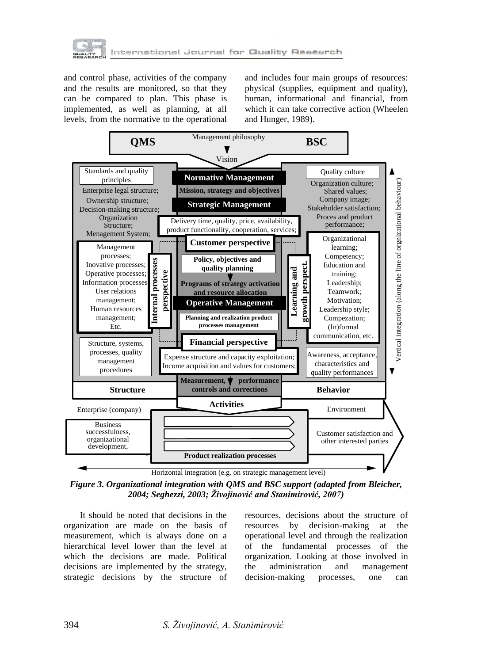

and control phase, activities of the company and the results are monitored, so that they can be compared to plan. This phase is implemented, as well as planning, at all levels, from the normative to the operational

and includes four main groups of resources: physical (supplies, equipment and quality), human, informational and financial, from which it can take corrective action (Wheelen and Hunger, 1989).



*Figure 3. Organizational integration with QMS and BSC support (adapted from Bleicher, 2004; Seghezzi, 2003; Živojinović and Stanimirović, 2007)*

It should be noted that decisions in the organization are made on the basis of measurement, which is always done on a hierarchical level lower than the level at which the decisions are made. Political decisions are implemented by the strategy, strategic decisions by the structure of

resources, decisions about the structure of resources by decision-making at the operational level and through the realization of the fundamental processes of the organization. Looking at those involved in the administration and management decision-making processes, one can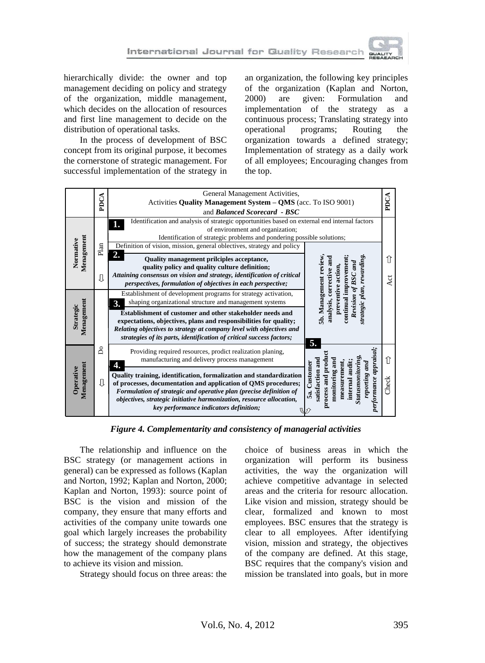

hierarchically divide: the owner and top management deciding on policy and strategy of the organization, middle management, which decides on the allocation of resources and first line management to decide on the distribution of operational tasks.

In the process of development of BSC concept from its original purpose, it becomes the cornerstone of strategic management. For successful implementation of the strategy in

an organization, the following key principles of the organization (Kaplan and Norton, 2000) are given: Formulation and implementation of the strategy as a continuous process; Translating strategy into operational programs; Routing the organization towards a defined strategy; Implementation of strategy as a daily work of all employees; Encouraging changes from the top.



*Figure 4. Complementarity and consistency of managerial activities*

The relationship and influence on the BSC strategy (or management actions in general) can be expressed as follows (Kaplan and Norton, 1992; Kaplan and Norton, 2000; Kaplan and Norton, 1993): source point of BSC is the vision and mission of the company, they ensure that many efforts and activities of the company unite towards one goal which largely increases the probability of success; the strategy should demonstrate how the management of the company plans to achieve its vision and mission.

Strategy should focus on three areas: the

choice of business areas in which the organization will perform its business activities, the way the organization will achieve competitive advantage in selected areas and the criteria for resourc allocation. Like vision and mission, strategy should be clear, formalized and known to most employees. BSC ensures that the strategy is clear to all employees. After identifying vision, mission and strategy, the objectives of the company are defined. At this stage, BSC requires that the company's vision and mission be translated into goals, but in more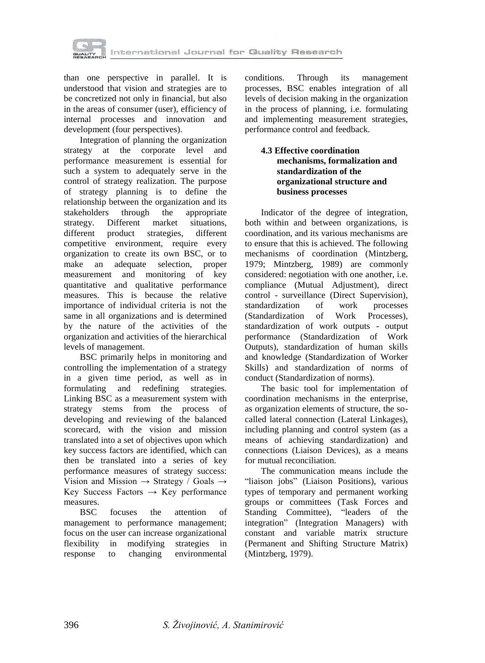

than one perspective in parallel. It is understood that vision and strategies are to be concretized not only in financial, but also in the areas of consumer (user), efficiency of internal processes and innovation and development (four perspectives).

Integration of planning the organization strategy at the corporate level and performance measurement is essential for such a system to adequately serve in the control of strategy realization. The purpose of strategy planning is to define the relationship between the organization and its stakeholders through the appropriate strategy. Different market situations, different product strategies, different competitive environment, require every organization to create its own BSC, or to make an adequate selection, proper measurement and monitoring of key quantitative and qualitative performance measures. This is because the relative importance of individual criteria is not the same in all organizations and is determined by the nature of the activities of the organization and activities of the hierarchical levels of management.

BSC primarily helps in monitoring and controlling the implementation of a strategy in a given time period, as well as in formulating and redefining strategies. Linking BSC as a measurement system with strategy stems from the process of developing and reviewing of the balanced scorecard, with the vision and mission translated into a set of objectives upon which key success factors are identified, which can then be translated into a series of key performance measures of strategy success: Vision and Mission  $\rightarrow$  Strategy / Goals  $\rightarrow$ Key Success Factors  $\rightarrow$  Key performance measures.

BSC focuses the attention of management to performance management; focus on the user can increase organizational flexibility in modifying strategies in response to changing environmental

conditions. Through its management processes, BSC enables integration of all levels of decision making in the organization in the process of planning, i.e. formulating and implementing measurement strategies, performance control and feedback.

# **4.3 Effective coordination mechanisms, formalization and standardization of the organizational structure and business processes**

Indicator of the degree of integration, both within and between organizations, is coordination, and its various mechanisms are to ensure that this is achieved. The following mechanisms of coordination (Mintzberg, 1979; Mintzberg, 1989) are commonly considered: negotiation with one another, i.e. compliance (Mutual Adjustment), direct control - surveillance (Direct Supervision), standardization of work processes (Standardization of Work Processes), standardization of work outputs - output performance (Standardization of Work Outputs), standardization of human skills and knowledge (Standardization of Worker Skills) and standardization of norms of conduct (Standardization of norms).

The basic tool for implementation of coordination mechanisms in the enterprise, as organization elements of structure, the socalled lateral connection (Lateral Linkages), including planning and control system (as a means of achieving standardization) and connections (Liaison Devices), as a means for mutual reconciliation.

The communication means include the "liaison jobs" (Liaison Positions), various types of temporary and permanent working groups or committees (Task Forces and Standing Committee), "leaders of the integration" (Integration Managers) with constant and variable matrix structure (Permanent and Shifting Structure Matrix) (Mintzberg, 1979).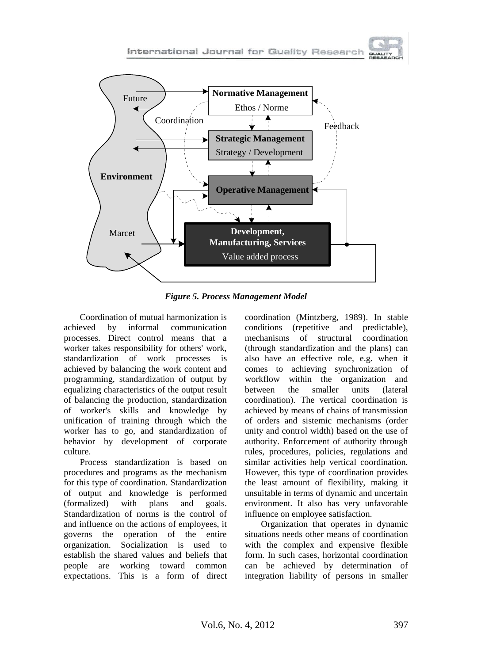

*Figure 5. Process Management Model*

Coordination of mutual harmonization is achieved by informal communication processes. Direct control means that a worker takes responsibility for others' work, standardization of work processes is achieved by balancing the work content and programming, standardization of output by equalizing characteristics of the output result of balancing the production, standardization of worker's skills and knowledge by unification of training through which the worker has to go, and standardization of behavior by development of corporate culture.

Process standardization is based on procedures and programs as the mechanism for this type of coordination. Standardization of output and knowledge is performed (formalized) with plans and goals. Standardization of norms is the control of and influence on the actions of employees, it governs the operation of the entire organization. Socialization is used to establish the shared values and beliefs that people are working toward common expectations. This is a form of direct coordination (Mintzberg, 1989). In stable conditions (repetitive and predictable), mechanisms of structural coordination (through standardization and the plans) can also have an effective role, e.g. when it comes to achieving synchronization of workflow within the organization and between the smaller units (lateral coordination). The vertical coordination is achieved by means of chains of transmission of orders and sistemic mechanisms (order unity and control width) based on the use of authority. Enforcement of authority through rules, procedures, policies, regulations and similar activities help vertical coordination. However, this type of coordination provides the least amount of flexibility, making it unsuitable in terms of dynamic and uncertain environment. It also has very unfavorable influence on employee satisfaction.

Organization that operates in dynamic situations needs other means of coordination with the complex and expensive flexible form. In such cases, horizontal coordination can be achieved by determination of integration liability of persons in smaller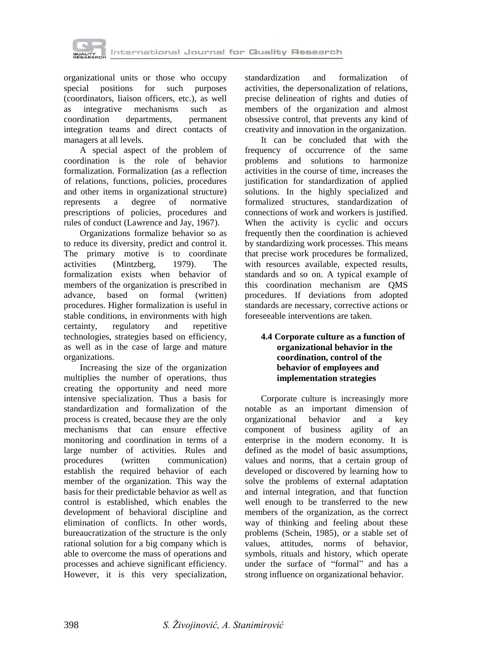

organizational units or those who occupy special positions for such purposes (coordinators, liaison officers, etc.), as well as integrative mechanisms such as coordination departments, permanent integration teams and direct contacts of managers at all levels.

A special aspect of the problem of coordination is the role of behavior formalization. Formalization (as a reflection of relations, functions, policies, procedures and other items in organizational structure) represents a degree of normative prescriptions of policies, procedures and rules of conduct (Lawrence and Jay, 1967).

Organizations formalize behavior so as to reduce its diversity, predict and control it. The primary motive is to coordinate activities (Mintzberg, 1979). The formalization exists when behavior of members of the organization is prescribed in advance, based on formal (written) procedures. Higher formalization is useful in stable conditions, in environments with high certainty, regulatory and repetitive technologies, strategies based on efficiency, as well as in the case of large and mature organizations.

Increasing the size of the organization multiplies the number of operations, thus creating the opportunity and need more intensive specialization. Thus a basis for standardization and formalization of the process is created, because they are the only mechanisms that can ensure effective monitoring and coordination in terms of a large number of activities. Rules and procedures (written communication) establish the required behavior of each member of the organization. This way the basis for their predictable behavior as well as control is established, which enables the development of behavioral discipline and elimination of conflicts. In other words, bureaucratization of the structure is the only rational solution for a big company which is able to overcome the mass of operations and processes and achieve significant efficiency. However, it is this very specialization,

standardization and formalization of activities, the depersonalization of relations, precise delineation of rights and duties of members of the organization and almost obsessive control, that prevents any kind of creativity and innovation in the organization.

It can be concluded that with the frequency of occurrence of the same problems and solutions to harmonize activities in the course of time, increases the justification for standardization of applied solutions. In the highly specialized and formalized structures, standardization of connections of work and workers is justified. When the activity is cyclic and occurs frequently then the coordination is achieved by standardizing work processes. This means that precise work procedures be formalized, with resources available, expected results, standards and so on. A typical example of this coordination mechanism are QMS procedures. If deviations from adopted standards are necessary, corrective actions or foreseeable interventions are taken.

#### **4.4 Corporate culture as a function of organizational behavior in the coordination, control of the behavior of employees and implementation strategies**

Corporate culture is increasingly more notable as an important dimension of organizational behavior and a key component of business agility of an enterprise in the modern economy. It is defined as the model of basic assumptions, values and norms, that a certain group of developed or discovered by learning how to solve the problems of external adaptation and internal integration, and that function well enough to be transferred to the new members of the organization, as the correct way of thinking and feeling about these problems (Schein, 1985), or a stable set of values, attitudes, norms of behavior, symbols, rituals and history, which operate under the surface of "formal" and has a strong influence on organizational behavior.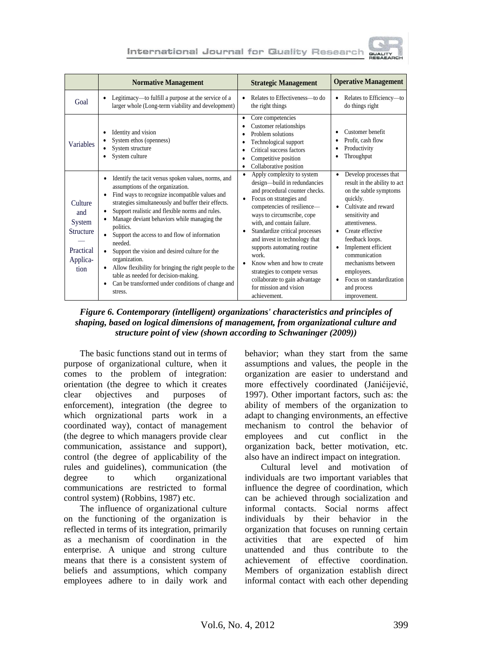

|                                                                               | <b>Normative Management</b>                                                                                                                                                                                                                                                                                                                                                                                                                                                                                                                                                                                           | <b>Strategic Management</b>                                                                                                                                                                                                                                                                                                                                                                                                                                                                                         | <b>Operative Management</b>                                                                                                                                                                                                                                                                                                                                           |
|-------------------------------------------------------------------------------|-----------------------------------------------------------------------------------------------------------------------------------------------------------------------------------------------------------------------------------------------------------------------------------------------------------------------------------------------------------------------------------------------------------------------------------------------------------------------------------------------------------------------------------------------------------------------------------------------------------------------|---------------------------------------------------------------------------------------------------------------------------------------------------------------------------------------------------------------------------------------------------------------------------------------------------------------------------------------------------------------------------------------------------------------------------------------------------------------------------------------------------------------------|-----------------------------------------------------------------------------------------------------------------------------------------------------------------------------------------------------------------------------------------------------------------------------------------------------------------------------------------------------------------------|
| Goal                                                                          | Legitimacy—to fulfill a purpose at the service of a<br>larger whole (Long-term viability and development)                                                                                                                                                                                                                                                                                                                                                                                                                                                                                                             | Relates to Effectiveness-to do<br>$\bullet$<br>the right things                                                                                                                                                                                                                                                                                                                                                                                                                                                     | Relates to Efficiency-to<br>do things right                                                                                                                                                                                                                                                                                                                           |
| <b>Variables</b>                                                              | Identity and vision<br>System ethos (openness)<br>System structure<br>System culture                                                                                                                                                                                                                                                                                                                                                                                                                                                                                                                                  | Core competencies<br>٠<br>Customer relationships<br>٠<br>Problem solutions<br>٠<br>Technological support<br>٠<br>Critical success factors<br>٠<br>Competitive position<br>٠<br>Collaborative position<br>٠                                                                                                                                                                                                                                                                                                          | Customer benefit<br>Profit, cash flow<br>Productivity<br>Throughput                                                                                                                                                                                                                                                                                                   |
| Culture<br>and<br>System<br><b>Structure</b><br>Practical<br>Applica-<br>tion | Identify the tacit versus spoken values, norms, and<br>assumptions of the organization.<br>Find ways to recognize incompatible values and<br>strategies simultaneously and buffer their effects.<br>Support realistic and flexible norms and rules.<br>Manage deviant behaviors while managing the<br>politics.<br>Support the access to and flow of information<br>needed.<br>Support the vision and desired culture for the<br>organization.<br>Allow flexibility for bringing the right people to the<br>table as needed for decision-making.<br>Can be transformed under conditions of change and<br>٠<br>stress. | Apply complexity to system<br>$\bullet$<br>design-build in redundancies<br>and procedural counter checks.<br>Focus on strategies and<br>$\bullet$<br>competencies of resilience-<br>ways to circumscribe, cope<br>with, and contain failure.<br>Standardize critical processes<br>$\bullet$<br>and invest in technology that<br>supports automating routine<br>work.<br>Know when and how to create<br>٠<br>strategies to compete versus<br>collaborate to gain advantage<br>for mission and vision<br>achievement. | Develop processes that<br>result in the ability to act<br>on the subtle symptoms<br>quickly.<br>Cultivate and reward<br>$\bullet$<br>sensitivity and<br>attentiveness<br>Create effective<br>٠<br>feedback loops.<br>Implement efficient<br>$\bullet$<br>communication<br>mechanisms between<br>employees.<br>Focus on standardization<br>and process<br>improvement. |

*Figure 6. Contemporary (intelligent) organizations' characteristics and principles of shaping, based on logical dimensions of management, from organizational culture and structure point of view (shown according to Schwaninger (2009))*

The basic functions stand out in terms of purpose of organizational culture, when it comes to the problem of integration: orientation (the degree to which it creates clear objectives and purposes of enforcement), integration (the degree to which orgnizational parts work in a coordinated way), contact of management (the degree to which managers provide clear communication, assistance and support), control (the degree of applicability of the rules and guidelines), communication (the degree to which organizational communications are restricted to formal control system) (Robbins, 1987) etc.

The influence of organizational culture on the functioning of the organization is reflected in terms of its integration, primarily as a mechanism of coordination in the enterprise. A unique and strong culture means that there is a consistent system of beliefs and assumptions, which company employees adhere to in daily work and

behavior; whan they start from the same assumptions and values, the people in the organization are easier to understand and more effectively coordinated (Janićijević, 1997). Other important factors, such as: the ability of members of the organization to adapt to changing environments, an effective mechanism to control the behavior of employees and cut conflict in the organization back, better motivation, etc. also have an indirect impact on integration.

Cultural level and motivation of individuals are two important variables that influence the degree of coordination, which can be achieved through socialization and informal contacts. Social norms affect individuals by their behavior in the organization that focuses on running certain activities that are expected of him unattended and thus contribute to the achievement of effective coordination. Members of organization establish direct informal contact with each other depending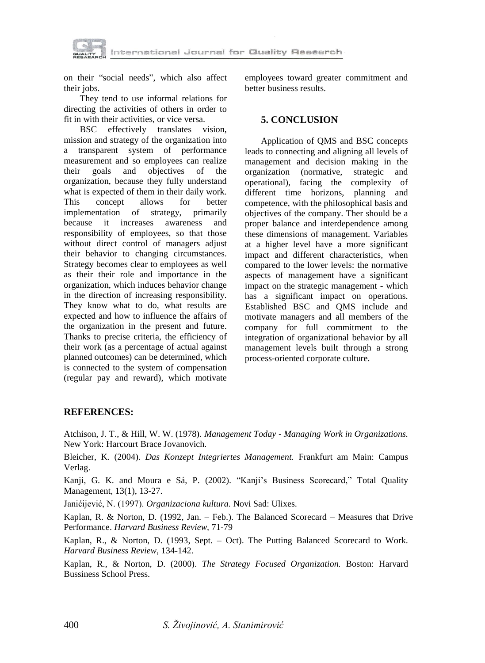

on their "social needs", which also affect their jobs.

They tend to use informal relations for directing the activities of others in order to fit in with their activities, or vice versa.

BSC effectively translates vision, mission and strategy of the organization into a transparent system of performance measurement and so employees can realize their goals and objectives of the organization, because they fully understand what is expected of them in their daily work. This concept allows for better implementation of strategy, primarily because it increases awareness and responsibility of employees, so that those without direct control of managers adjust their behavior to changing circumstances. Strategy becomes clear to employees as well as their their role and importance in the organization, which induces behavior change in the direction of increasing responsibility. They know what to do, what results are expected and how to influence the affairs of the organization in the present and future. Thanks to precise criteria, the efficiency of their work (as a percentage of actual against planned outcomes) can be determined, which is connected to the system of compensation (regular pay and reward), which motivate employees toward greater commitment and better business results.

### **5. CONCLUSION**

Application of QMS and BSC concepts leads to connecting and aligning all levels of management and decision making in the organization (normative, strategic and operational), facing the complexity of different time horizons, planning and competence, with the philosophical basis and objectives of the company. Ther should be a proper balance and interdependence among these dimensions of management. Variables at a higher level have a more significant impact and different characteristics, when compared to the lower levels: the normative aspects of management have a significant impact on the strategic management - which has a significant impact on operations. Established BSC and QMS include and motivate managers and all members of the company for full commitment to the integration of organizational behavior by all management levels built through a strong process-oriented corporate culture.

### **REFERENCES:**

Atchison, J. T., & Hill, W. W. (1978). *Management Today - Managing Work in Organizations.* New York: Harcourt Brace Jovanovich.

Bleicher, K. (2004). *Das Konzept Integriertes Management.* Frankfurt am Main: Campus Verlag.

Kanji, G. K. and Moura e Sá, P. (2002). "Kanji's Business Scorecard," Total Quality Management, 13(1), 13-27.

Janićijević, N. (1997). *Organizaciona kultura.* Novi Sad: Ulixes.

Kaplan, R. & Norton, D. (1992, Jan. – Feb.). The Balanced Scorecard – Measures that Drive Performance. *Harvard Business Review,* 71-79

Kaplan, R., & Norton, D. (1993, Sept. – Oct). The Putting Balanced Scorecard to Work. *Harvard Business Review*, 134-142.

Kaplan, R., & Norton, D. (2000). *The Strategy Focused Organization.* Boston: Harvard Bussiness School Press.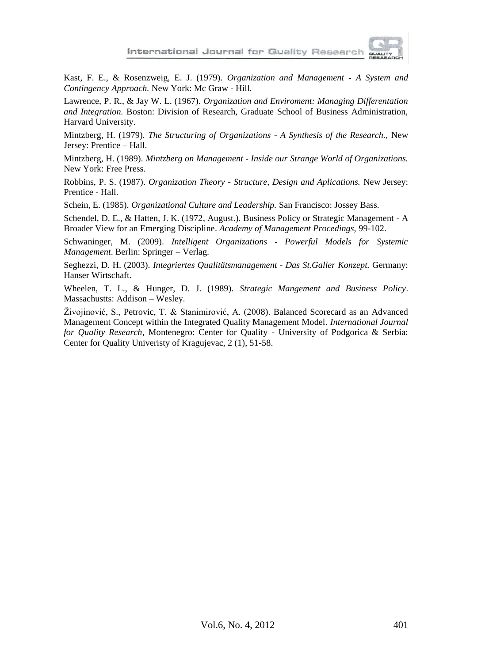

Kast, F. E., & Rosenzweig, E. J. (1979). *Organization and Management - A System and Contingency Approach.* New York: Mc Graw - Hill.

Lawrence, P. R., & Jay W. L. (1967). *Organization and Enviroment: Managing Differentation and Integration.* Boston: Division of Research, Graduate School of Business Administration, Harvard University.

Mintzberg, H. (1979). *The Structuring of Organizations - A Synthesis of the Research.,* New Jersey: Prentice – Hall.

Mintzberg, H. (1989). *Mintzberg on Management - Inside our Strange World of Organizations.*  New York: Free Press.

Robbins, P. S. (1987). *Organization Theory - Structure, Design and Aplications.* New Jersey: Prentice - Hall.

Schein, E. (1985). *Organizational Culture and Leadership.* San Francisco: Jossey Bass.

Schendel, D. E., & Hatten, J. K. (1972, August.). Business Policy or Strategic Management - A Broader View for an Emerging Discipline. *Academy of Management Procedings,* 99-102.

Schwaninger, M. (2009). *Intelligent Organizations - Powerful Models for Systemic Management*. Berlin: Springer – Verlag.

Seghezzi, D. H. (2003). *Integriertes Qualitätsmanagement - Das St.Galler Konzept.* Germany: Hanser Wirtschaft.

Wheelen, T. L., & Hunger, D. J. (1989). *Strategic Mangement and Business Policy*. Massachustts: Addison – Wesley.

Živojinović, S., Petrovic, T. & Stanimirović, A. (2008). Balanced Scorecard as an Advanced Management Concept within the Integrated Quality Management Model. *International Journal for Quality Research*, Montenegro: Center for Quality - University of Podgorica & Serbia: Center for Quality Univeristy of Kragujevac, 2 (1), 51-58.